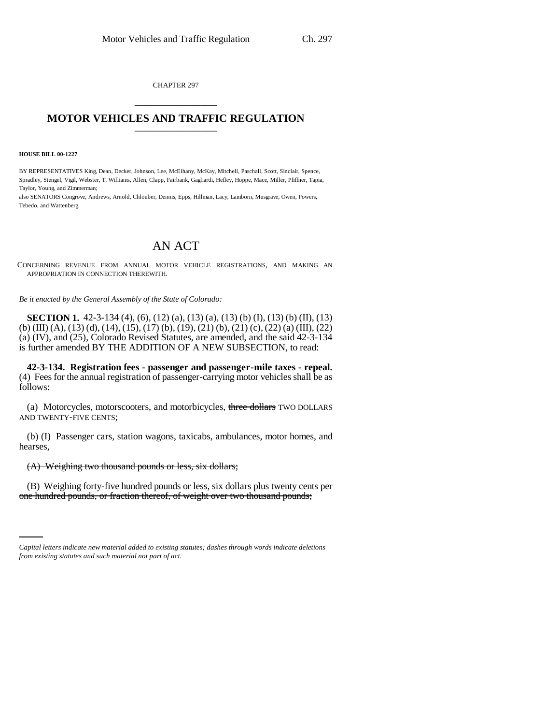CHAPTER 297 \_\_\_\_\_\_\_\_\_\_\_\_\_\_\_

## **MOTOR VEHICLES AND TRAFFIC REGULATION** \_\_\_\_\_\_\_\_\_\_\_\_\_\_\_

**HOUSE BILL 00-1227**

BY REPRESENTATIVES King, Dean, Decker, Johnson, Lee, McElhany, McKay, Mitchell, Paschall, Scott, Sinclair, Spence, Spradley, Stengel, Vigil, Webster, T. Williams, Allen, Clapp, Fairbank, Gagliardi, Hefley, Hoppe, Mace, Miller, Pfiffner, Tapia, Taylor, Young, and Zimmerman;

also SENATORS Congrove, Andrews, Arnold, Chlouber, Dennis, Epps, Hillman, Lacy, Lamborn, Musgrave, Owen, Powers, Tebedo, and Wattenberg.

## AN ACT

CONCERNING REVENUE FROM ANNUAL MOTOR VEHICLE REGISTRATIONS, AND MAKING AN APPROPRIATION IN CONNECTION THEREWITH.

*Be it enacted by the General Assembly of the State of Colorado:*

**SECTION 1.** 42-3-134 (4), (6), (12) (a), (13) (a), (13) (b) (I), (13) (b) (II), (13) (b) (III) (A), (13) (d), (14), (15), (17) (b), (19), (21) (b), (21) (c), (22) (a) (III), (22) (a) (IV), and (25), Colorado Revised Statutes, are amended, and the said 42-3-134 is further amended BY THE ADDITION OF A NEW SUBSECTION, to read:

**42-3-134. Registration fees - passenger and passenger-mile taxes - repeal.** (4) Fees for the annual registration of passenger-carrying motor vehicles shall be as follows:

(a) Motorcycles, motorscooters, and motorbicycles, three dollars TWO DOLLARS AND TWENTY-FIVE CENTS;

(b) (I) Passenger cars, station wagons, taxicabs, ambulances, motor homes, and hearses,

(A) Weighing two thousand pounds or less, six dollars;

(B) Weighing forty-five hundred pounds or less, six dollars plus twenty cents per one hundred pounds, or fraction thereof, of weight over two thousand pounds;

*Capital letters indicate new material added to existing statutes; dashes through words indicate deletions from existing statutes and such material not part of act.*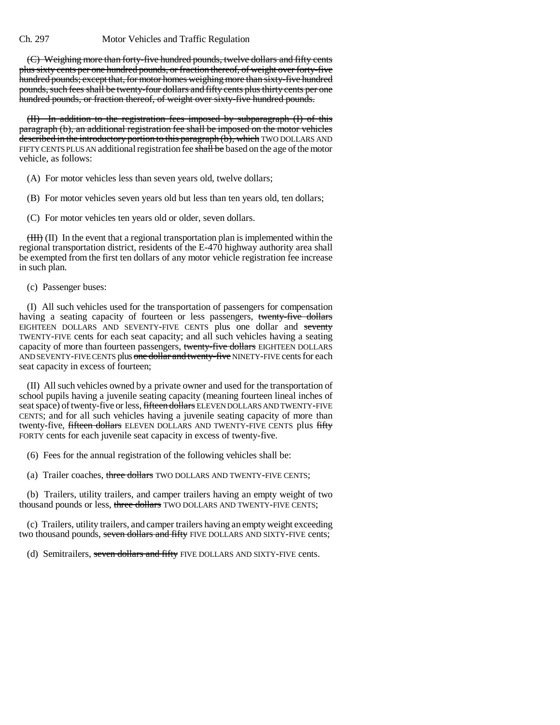(C) Weighing more than forty-five hundred pounds, twelve dollars and fifty cents plus sixty cents per one hundred pounds, or fraction thereof, of weight over forty-five hundred pounds; except that, for motor homes weighing more than sixty-five hundred pounds, such fees shall be twenty-four dollars and fifty cents plus thirty cents per one hundred pounds, or fraction thereof, of weight over sixty-five hundred pounds.

(II) In addition to the registration fees imposed by subparagraph (I) of this paragraph (b), an additional registration fee shall be imposed on the motor vehicles described in the introductory portion to this paragraph (b), which TWO DOLLARS AND FIFTY CENTS PLUS AN additional registration fee shall be based on the age of the motor vehicle, as follows:

(A) For motor vehicles less than seven years old, twelve dollars;

(B) For motor vehicles seven years old but less than ten years old, ten dollars;

(C) For motor vehicles ten years old or older, seven dollars.

(III) (II) In the event that a regional transportation plan is implemented within the regional transportation district, residents of the E-470 highway authority area shall be exempted from the first ten dollars of any motor vehicle registration fee increase in such plan.

(c) Passenger buses:

(I) All such vehicles used for the transportation of passengers for compensation having a seating capacity of fourteen or less passengers, twenty-five dollars EIGHTEEN DOLLARS AND SEVENTY-FIVE CENTS plus one dollar and seventy TWENTY-FIVE cents for each seat capacity; and all such vehicles having a seating capacity of more than fourteen passengers, twenty-five dollars EIGHTEEN DOLLARS AND SEVENTY-FIVE CENTS plus one dollar and twenty-five NINETY-FIVE cents for each seat capacity in excess of fourteen;

(II) All such vehicles owned by a private owner and used for the transportation of school pupils having a juvenile seating capacity (meaning fourteen lineal inches of seat space) of twenty-five or less, fifteen dollars ELEVEN DOLLARS AND TWENTY-FIVE CENTS; and for all such vehicles having a juvenile seating capacity of more than twenty-five, fifteen dollars ELEVEN DOLLARS AND TWENTY-FIVE CENTS plus fifty FORTY cents for each juvenile seat capacity in excess of twenty-five.

(6) Fees for the annual registration of the following vehicles shall be:

(a) Trailer coaches, three dollars TWO DOLLARS AND TWENTY-FIVE CENTS;

(b) Trailers, utility trailers, and camper trailers having an empty weight of two thousand pounds or less, three dollars TWO DOLLARS AND TWENTY-FIVE CENTS;

(c) Trailers, utility trailers, and camper trailers having an empty weight exceeding two thousand pounds, seven dollars and fifty FIVE DOLLARS AND SIXTY-FIVE cents;

(d) Semitrailers, seven dollars and fifty FIVE DOLLARS AND SIXTY-FIVE cents.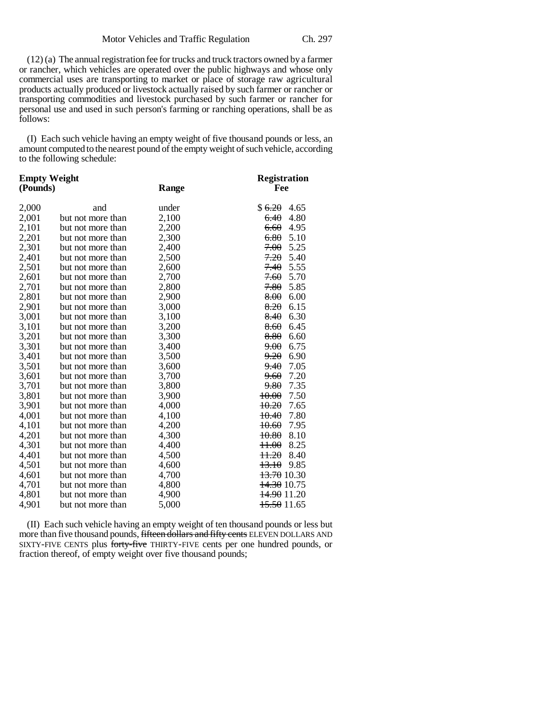(12) (a) The annual registration fee for trucks and truck tractors owned by a farmer or rancher, which vehicles are operated over the public highways and whose only commercial uses are transporting to market or place of storage raw agricultural products actually produced or livestock actually raised by such farmer or rancher or transporting commodities and livestock purchased by such farmer or rancher for personal use and used in such person's farming or ranching operations, shall be as follows:

(I) Each such vehicle having an empty weight of five thousand pounds or less, an amount computed to the nearest pound of the empty weight of such vehicle, according to the following schedule:

| <b>Empty Weight</b> |                   |       | <b>Registration</b>        |
|---------------------|-------------------|-------|----------------------------|
| (Pounds)            |                   | Range | Fee                        |
| 2,000               | and               | under | \$ <del>6.20</del><br>4.65 |
| 2,001               | but not more than | 2,100 | 4.80<br>6.40               |
| 2,101               | but not more than | 2,200 | 6.60<br>4.95               |
| 2,201               | but not more than | 2,300 | 6.80<br>5.10               |
| 2,301               | but not more than | 2,400 | 7.00<br>5.25               |
| 2,401               | but not more than | 2,500 | 7.20<br>5.40               |
| 2,501               | but not more than | 2,600 | 7.40<br>5.55               |
| 2,601               | but not more than | 2,700 | 7.60<br>5.70               |
| 2,701               | but not more than | 2,800 | 7.80<br>5.85               |
| 2,801               | but not more than | 2,900 | 8.00<br>6.00               |
| 2,901               | but not more than | 3,000 | 8.20<br>6.15               |
| 3,001               | but not more than | 3,100 | 6.30<br>8.40               |
| 3,101               | but not more than | 3,200 | 8.60<br>6.45               |
| 3,201               | but not more than | 3,300 | 8.80<br>6.60               |
| 3,301               | but not more than | 3,400 | 6.75<br>9.00               |
| 3,401               | but not more than | 3,500 | 9.20<br>6.90               |
| 3,501               | but not more than | 3,600 | 9.40<br>7.05               |
| 3,601               | but not more than | 3,700 | 7.20<br><del>9.60</del>    |
| 3,701               | but not more than | 3,800 | 7.35<br><del>9.80</del>    |
| 3,801               | but not more than | 3,900 | 7.50<br>10.00              |
| 3,901               | but not more than | 4,000 | 10.20<br>7.65              |
| 4,001               | but not more than | 4,100 | 7.80<br>10.40              |
| 4,101               | but not more than | 4,200 | 7.95<br>10.60              |
| 4,201               | but not more than | 4,300 | 8.10<br>10.80              |
| 4,301               | but not more than | 4,400 | 8.25<br>H.00               |
| 4,401               | but not more than | 4,500 | 11.20<br>8.40              |
| 4,501               | but not more than | 4,600 | 13.10<br>9.85              |
| 4,601               | but not more than | 4,700 | 13.70 10.30                |
| 4,701               | but not more than | 4,800 | 14.30 10.75                |
| 4,801               | but not more than | 4,900 | <del>14.90</del> 11.20     |
| 4,901               | but not more than | 5,000 | <del>15.50</del> 11.65     |

(II) Each such vehicle having an empty weight of ten thousand pounds or less but more than five thousand pounds, fifteen dollars and fifty cents ELEVEN DOLLARS AND SIXTY-FIVE CENTS plus forty-five THIRTY-FIVE cents per one hundred pounds, or fraction thereof, of empty weight over five thousand pounds;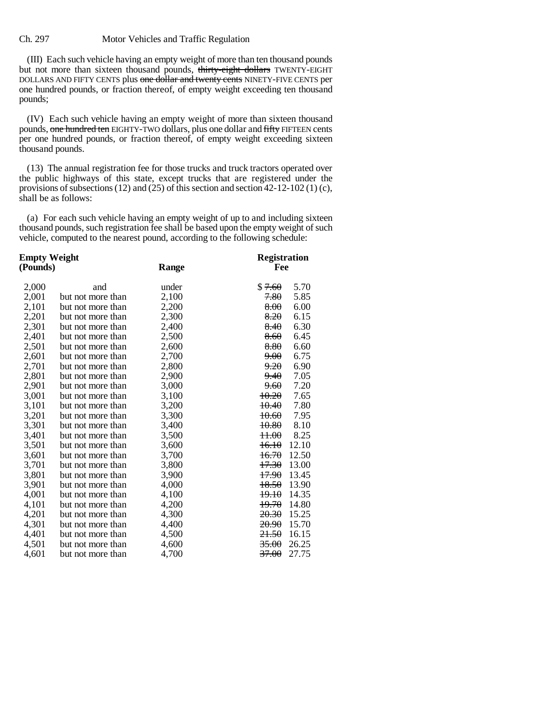(III) Each such vehicle having an empty weight of more than ten thousand pounds but not more than sixteen thousand pounds, thirty-eight dollars TWENTY-EIGHT DOLLARS AND FIFTY CENTS plus one dollar and twenty cents NINETY-FIVE CENTS per one hundred pounds, or fraction thereof, of empty weight exceeding ten thousand pounds;

(IV) Each such vehicle having an empty weight of more than sixteen thousand pounds, one hundred ten EIGHTY-TWO dollars, plus one dollar and fifty FIFTEEN cents per one hundred pounds, or fraction thereof, of empty weight exceeding sixteen thousand pounds.

(13) The annual registration fee for those trucks and truck tractors operated over the public highways of this state, except trucks that are registered under the provisions of subsections (12) and (25) of this section and section 42-12-102 (1) (c), shall be as follows:

(a) For each such vehicle having an empty weight of up to and including sixteen thousand pounds, such registration fee shall be based upon the empty weight of such vehicle, computed to the nearest pound, according to the following schedule:

| Empty Weight |                   |       | <b>Registration</b>       |
|--------------|-------------------|-------|---------------------------|
| (Pounds)     |                   | Range | Fee                       |
| 2,000        | and               | under | \$7.60<br>5.70            |
| 2,001        | but not more than | 2,100 | 7.80<br>5.85              |
| 2,101        | but not more than | 2,200 | 8.00<br>6.00              |
| 2,201        | but not more than | 2,300 | 8.20<br>6.15              |
| 2,301        | but not more than | 2,400 | 6.30<br>8.40              |
| 2,401        | but not more than | 2,500 | 8.60<br>6.45              |
| 2,501        | but not more than | 2,600 | 8.80<br>6.60              |
| 2,601        | but not more than | 2,700 | 9.00<br>6.75              |
| 2,701        | but not more than | 2,800 | 9.20<br>6.90              |
| 2,801        | but not more than | 2,900 | 7.05<br><del>9.40</del>   |
| 2,901        | but not more than | 3,000 | 7.20<br>9.60              |
| 3,001        | but not more than | 3,100 | 10.20<br>7.65             |
| 3,101        | but not more than | 3,200 | 7.80<br>10.40             |
| 3,201        | but not more than | 3,300 | 10.60<br>7.95             |
| 3,301        | but not more than | 3,400 | 8.10<br>10.80             |
| 3,401        | but not more than | 3,500 | 8.25<br><del>11.00</del>  |
| 3,501        | but not more than | 3,600 | 12.10<br>16.10            |
| 3,601        | but not more than | 3,700 | <del>16.70</del><br>12.50 |
| 3,701        | but not more than | 3,800 | <del>17.30</del><br>13.00 |
| 3,801        | but not more than | 3,900 | 17.90<br>13.45            |
| 3,901        | but not more than | 4,000 | 18.50<br>13.90            |
| 4,001        | but not more than | 4,100 | 19.10<br>14.35            |
| 4,101        | but not more than | 4,200 | 19.70<br>14.80            |
| 4,201        | but not more than | 4,300 | 20.30<br>15.25            |
| 4,301        | but not more than | 4,400 | <del>20.90</del><br>15.70 |
| 4,401        | but not more than | 4,500 | <del>21.50</del><br>16.15 |
| 4,501        | but not more than | 4,600 | <del>35.00</del><br>26.25 |
| 4,601        | but not more than | 4,700 | 37.00<br>27.75            |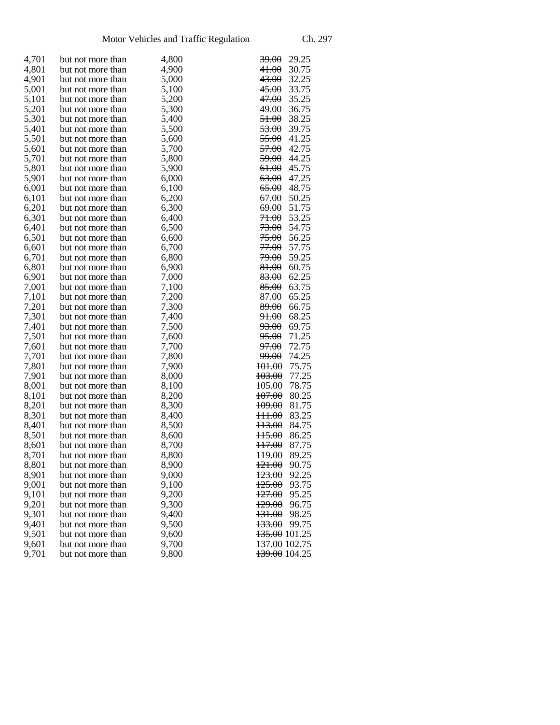| 4,701 | but not more than | 4,800 | <del>39.00</del><br>29.25  |
|-------|-------------------|-------|----------------------------|
| 4,801 | but not more than | 4,900 | <del>41.00</del><br>30.75  |
| 4,901 | but not more than | 5,000 | <del>43.00</del><br>32.25  |
| 5,001 | but not more than | 5,100 | 33.75<br><del>45.00</del>  |
| 5,101 | but not more than | 5,200 | 35.25<br><del>47.00</del>  |
| 5,201 | but not more than | 5,300 | 36.75<br><del>49.00</del>  |
| 5,301 | but not more than | 5,400 | 38.25<br><del>51.00</del>  |
| 5,401 | but not more than | 5,500 | 53.00<br>39.75             |
| 5,501 | but not more than | 5,600 | 55.00<br>41.25             |
| 5,601 | but not more than | 5,700 | 42.75<br><del>57.00</del>  |
| 5,701 | but not more than | 5,800 | 44.25<br><del>59.00</del>  |
| 5,801 | but not more than | 5,900 | 45.75<br><del>61.00</del>  |
| 5,901 | but not more than | 6,000 | 47.25<br><del>63.00</del>  |
| 6,001 | but not more than | 6,100 | <del>65.00</del><br>48.75  |
| 6,101 | but not more than | 6,200 | 50.25<br><del>67.00</del>  |
| 6,201 | but not more than | 6,300 | 51.75<br><del>69.00</del>  |
| 6,301 | but not more than | 6,400 | <del>71.00</del><br>53.25  |
| 6,401 | but not more than | 6,500 | <del>73.00</del><br>54.75  |
| 6,501 | but not more than | 6,600 | 75.00<br>56.25             |
| 6,601 | but not more than | 6,700 | 57.75<br><del>77.00</del>  |
| 6,701 | but not more than | 6,800 | 59.25<br><del>79.00</del>  |
| 6,801 | but not more than | 6,900 | 60.75<br><del>81.00</del>  |
| 6,901 | but not more than | 7,000 | 83.00<br>62.25             |
| 7,001 | but not more than | 7,100 | 63.75<br><del>85.00</del>  |
| 7,101 | but not more than | 7,200 | 65.25<br><del>87.00</del>  |
| 7,201 | but not more than | 7,300 | 66.75<br>89.00             |
| 7,301 | but not more than | 7,400 | <del>91.00</del><br>68.25  |
| 7,401 | but not more than | 7,500 | <del>93.00</del><br>69.75  |
| 7,501 | but not more than | 7,600 | <del>95.00</del><br>71.25  |
| 7,601 | but not more than | 7,700 | 72.75<br><del>97.00</del>  |
| 7,701 | but not more than | 7,800 | 74.25<br><del>99.00</del>  |
| 7,801 | but not more than | 7,900 | 101.00<br>75.75            |
| 7,901 | but not more than | 8,000 | 103.00<br>77.25            |
| 8,001 | but not more than | 8,100 | 78.75<br><del>105.00</del> |
| 8,101 | but not more than | 8,200 | <del>107.00</del><br>80.25 |
| 8,201 | but not more than | 8,300 | 81.75<br><del>109.00</del> |
| 8,301 | but not more than | 8,400 | 83.25<br><del>111.00</del> |
| 8,401 | but not more than | 8,500 | <del>113.00</del><br>84.75 |
| 8,501 | but not more than | 8,600 | 86.25<br><del>115.00</del> |
| 8,601 | but not more than | 8,700 | 87.75<br><del>117.00</del> |
| 8,701 | but not more than | 8,800 | <del>119.00</del><br>89.25 |
| 8,801 | but not more than | 8,900 | 90.75<br>121.00            |
| 8,901 | but not more than | 9,000 | 92.25<br><del>123.00</del> |
| 9,001 | but not more than | 9,100 | <del>125.00</del><br>93.75 |
| 9,101 | but not more than | 9,200 | 95.25<br><del>127.00</del> |
| 9,201 | but not more than | 9,300 | 96.75<br><del>129.00</del> |
| 9,301 | but not more than | 9,400 | <del>131.00</del><br>98.25 |
| 9,401 | but not more than | 9,500 | 133.00<br>99.75            |
| 9,501 | but not more than | 9,600 | <del>135.00</del> 101.25   |
| 9,601 | but not more than | 9,700 | <del>137.00</del> 102.75   |
| 9,701 |                   | 9,800 | 139.00 104.25              |
|       | but not more than |       |                            |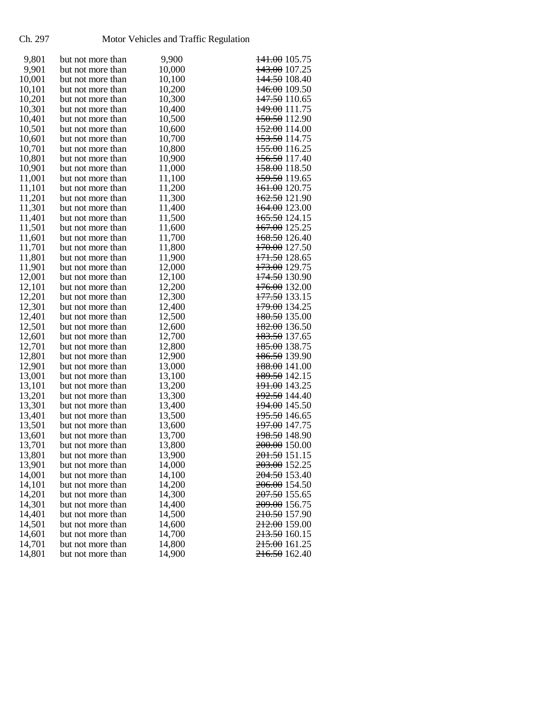## Ch. 297 Motor Vehicles and Traffic Regulation

| 9,801  | but not more than                      | 9,900  | <del>141.00</del> 105.75 |
|--------|----------------------------------------|--------|--------------------------|
| 9,901  | but not more than                      | 10,000 | 143.00 107.25            |
| 10,001 | but not more than                      | 10,100 | <del>144.50</del> 108.40 |
| 10,101 | but not more than                      | 10,200 | <del>146.00</del> 109.50 |
| 10,201 | but not more than                      | 10,300 | <del>147.50</del> 110.65 |
| 10,301 | but not more than                      | 10,400 | <del>149.00</del> 111.75 |
| 10,401 | but not more than                      | 10,500 | <del>150.50</del> 112.90 |
| 10,501 | but not more than                      | 10,600 | <del>152.00</del> 114.00 |
| 10,601 | but not more than                      | 10,700 | <del>153.50</del> 114.75 |
| 10,701 | but not more than                      | 10,800 | <del>155.00</del> 116.25 |
| 10,801 | but not more than                      | 10,900 | <del>156.50</del> 117.40 |
| 10,901 | but not more than                      | 11,000 | <del>158.00</del> 118.50 |
| 11,001 | but not more than                      | 11,100 | 159.50 119.65            |
| 11,101 | but not more than                      | 11,200 | <del>161.00</del> 120.75 |
| 11,201 | but not more than                      | 11,300 | <del>162.50</del> 121.90 |
| 11,301 | but not more than                      | 11,400 | <del>164.00</del> 123.00 |
| 11,401 | but not more than                      | 11,500 | <del>165.50</del> 124.15 |
| 11,501 | but not more than                      | 11,600 | 167.00 125.25            |
| 11,601 | but not more than                      | 11,700 | 168.50 126.40            |
| 11,701 | but not more than                      | 11,800 | <del>170.00</del> 127.50 |
| 11,801 | but not more than                      | 11,900 | <del>171.50</del> 128.65 |
|        | but not more than                      |        | <del>173.00</del> 129.75 |
| 11,901 |                                        | 12,000 |                          |
| 12,001 | but not more than<br>but not more than | 12,100 | <del>174.50</del> 130.90 |
| 12,101 |                                        | 12,200 | <del>176.00</del> 132.00 |
| 12,201 | but not more than                      | 12,300 | 177.50 133.15            |
| 12,301 | but not more than                      | 12,400 | <del>179.00</del> 134.25 |
| 12,401 | but not more than                      | 12,500 | 180.50 135.00            |
| 12,501 | but not more than                      | 12,600 | <del>182.00</del> 136.50 |
| 12,601 | but not more than                      | 12,700 | <del>183.50</del> 137.65 |
| 12,701 | but not more than                      | 12,800 | <del>185.00</del> 138.75 |
| 12,801 | but not more than                      | 12,900 | <del>186.50</del> 139.90 |
| 12,901 | but not more than                      | 13,000 | <del>188.00</del> 141.00 |
| 13,001 | but not more than                      | 13,100 | <del>189.50</del> 142.15 |
| 13,101 | but not more than                      | 13,200 | <del>191.00</del> 143.25 |
| 13,201 | but not more than                      | 13,300 | <del>192.50</del> 144.40 |
| 13,301 | but not more than                      | 13,400 | 194.00 145.50            |
| 13,401 | but not more than                      | 13,500 | <del>195.50</del> 146.65 |
| 13,501 | but not more than                      | 13,600 | <del>197.00</del> 147.75 |
| 13,601 | but not more than                      | 13,700 | <del>198.50</del> 148.90 |
| 13,701 | but not more than                      | 13,800 | <del>200.00</del> 150.00 |
| 13,801 | but not more than                      | 13,900 | <del>201.50</del> 151.15 |
| 13,901 | but not more than                      | 14,000 | 203.00 152.25            |
| 14,001 | but not more than                      | 14,100 | 204.50 153.40            |
| 14,101 | but not more than                      | 14,200 | 206.00 154.50            |
| 14,201 | but not more than                      | 14,300 | <del>207.50</del> 155.65 |
| 14,301 | but not more than                      | 14,400 | 209.00 156.75            |
| 14,401 | but not more than                      | 14,500 | 210.50 157.90            |
| 14,501 | but not more than                      | 14,600 | <del>212.00</del> 159.00 |
| 14,601 | but not more than                      | 14,700 | 213.50 160.15            |
| 14,701 | but not more than                      | 14,800 | <del>215.00</del> 161.25 |
| 14,801 | but not more than                      | 14,900 | <del>216.50</del> 162.40 |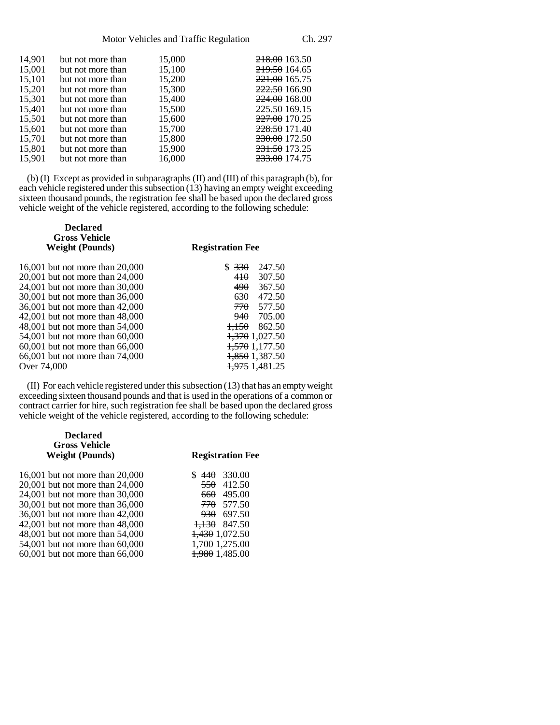| 14,901 | but not more than | 15,000 | 218.00 163.50   |
|--------|-------------------|--------|-----------------|
| 15,001 | but not more than | 15,100 | 219.50 164.65   |
| 15.101 | but not more than | 15,200 | $221.00$ 165.75 |
| 15,201 | but not more than | 15,300 | 222.50 166.90   |
| 15,301 | but not more than | 15,400 | 224.00 168.00   |
| 15,401 | but not more than | 15,500 | 225.50 169.15   |
| 15.501 | but not more than | 15,600 | 227.00 170.25   |
| 15.601 | but not more than | 15,700 | 228.50 171.40   |
| 15,701 | but not more than | 15,800 | 230.00 172.50   |
| 15,801 | but not more than | 15,900 | 231.50 173.25   |
| 15,901 | but not more than | 16,000 | 233.00 174.75   |
|        |                   |        |                 |

(b) (I) Except as provided in subparagraphs (II) and (III) of this paragraph (b), for each vehicle registered under this subsection  $(13)$  having an empty weight exceeding sixteen thousand pounds, the registration fee shall be based upon the declared gross vehicle weight of the vehicle registered, according to the following schedule:

| <b>Registration Fee</b>   |  |
|---------------------------|--|
| 247.50<br>\$330           |  |
| 410<br>307.50             |  |
| 490<br>367.50             |  |
| 630<br>472.50             |  |
| 770<br>577.50             |  |
| <del>940</del> 705.00     |  |
| $+1.50$<br>862.50         |  |
| <del>1,370</del> 1,027.50 |  |
| 1,570 1,177.50            |  |
| <del>1,850</del> 1,387.50 |  |
| 1,975 1,481.25            |  |
|                           |  |

(II) For each vehicle registered under this subsection (13) that has an empty weight exceeding sixteen thousand pounds and that is used in the operations of a common or contract carrier for hire, such registration fee shall be based upon the declared gross vehicle weight of the vehicle registered, according to the following schedule:

| <b>Declared</b><br><b>Gross Vehicle</b><br><b>Weight (Pounds)</b> | <b>Registration Fee</b>    |
|-------------------------------------------------------------------|----------------------------|
| 16,001 but not more than 20,000                                   | 330.00<br><del>440</del>   |
| 20,001 but not more than 24,000                                   | 412.50<br>550              |
| 24,001 but not more than 30,000                                   | 495.00<br>660              |
| 30,001 but not more than 36,000                                   | 577.50<br>770              |
| 36,001 but not more than 42,000                                   | 697.50<br>930              |
| 42,001 but not more than 48,000                                   | 847.50<br><del>1.130</del> |
| 48,001 but not more than 54,000                                   | <del>1,430</del> 1,072.50  |
| 54,001 but not more than 60,000                                   | 1,700 1,275.00             |
| 60,001 but not more than 66,000                                   | <del>1,980</del> 1,485.00  |
|                                                                   |                            |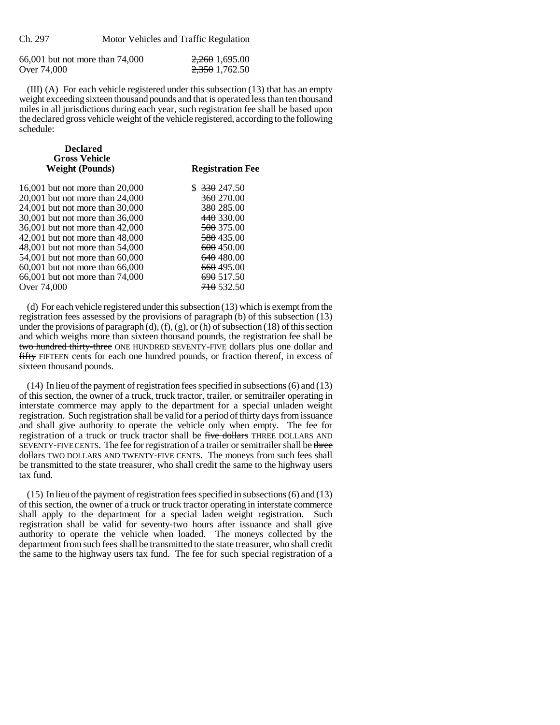| 66,001 but not more than 74,000 | 2,260 1,695.00 |
|---------------------------------|----------------|
| Over 74,000                     | 2,350 1,762.50 |

(III) (A) For each vehicle registered under this subsection (13) that has an empty weight exceeding sixteen thousand pounds and that is operated less than ten thousand miles in all jurisdictions during each year, such registration fee shall be based upon the declared gross vehicle weight of the vehicle registered, according to the following schedule:

| <b>Declared</b><br><b>Gross Vehicle</b> |                         |
|-----------------------------------------|-------------------------|
| <b>Weight (Pounds)</b>                  | <b>Registration Fee</b> |
| 16,001 but not more than 20,000         | \$ 330 247.50           |
| 20,001 but not more than 24,000         | 360 270.00              |
| 24.001 but not more than 30.000         | 380 285.00              |
| 30.001 but not more than 36.000         | <del>440</del> 330.00   |
| 36.001 but not more than 42.000         | <del>500</del> 375.00   |
| 42,001 but not more than 48,000         | <del>580</del> 435.00   |
| 48,001 but not more than 54,000         | 600 450.00              |
| 54,001 but not more than 60,000         | 640 480.00              |
| 60,001 but not more than 66,000         | <del>660</del> 495.00   |
| 66,001 but not more than 74,000         | 690 517.50              |
| Over 74,000                             | <del>710</del> 532.50   |
|                                         |                         |

(d) For each vehicle registered under this subsection (13) which is exempt from the registration fees assessed by the provisions of paragraph (b) of this subsection (13) under the provisions of paragraph (d), (f), (g), or (h) of subsection (18) of this section and which weighs more than sixteen thousand pounds, the registration fee shall be two hundred thirty-three ONE HUNDRED SEVENTY-FIVE dollars plus one dollar and fifty FIFTEEN cents for each one hundred pounds, or fraction thereof, in excess of sixteen thousand pounds.

(14) In lieu of the payment of registration fees specified in subsections (6) and (13) of this section, the owner of a truck, truck tractor, trailer, or semitrailer operating in interstate commerce may apply to the department for a special unladen weight registration. Such registration shall be valid for a period of thirty days from issuance and shall give authority to operate the vehicle only when empty. The fee for registration of a truck or truck tractor shall be five dollars THREE DOLLARS AND SEVENTY-FIVE CENTS. The fee for registration of a trailer or semitrailer shall be three dollars TWO DOLLARS AND TWENTY-FIVE CENTS. The moneys from such fees shall be transmitted to the state treasurer, who shall credit the same to the highway users tax fund.

(15) In lieu of the payment of registration fees specified in subsections (6) and (13) of this section, the owner of a truck or truck tractor operating in interstate commerce shall apply to the department for a special laden weight registration. Such registration shall be valid for seventy-two hours after issuance and shall give authority to operate the vehicle when loaded. The moneys collected by the department from such fees shall be transmitted to the state treasurer, who shall credit the same to the highway users tax fund. The fee for such special registration of a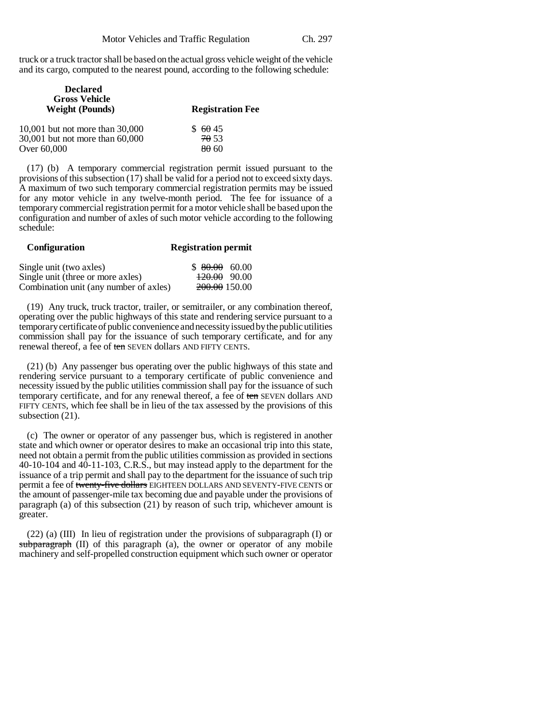truck or a truck tractor shall be based on the actual gross vehicle weight of the vehicle and its cargo, computed to the nearest pound, according to the following schedule:

| <b>Declared</b><br><b>Gross Vehicle</b><br><b>Weight (Pounds)</b> | <b>Registration Fee</b> |
|-------------------------------------------------------------------|-------------------------|
| 10,001 but not more than 30,000                                   | \$6045                  |
| 30,001 but not more than 60,000                                   | 70.53                   |
| Over 60,000                                                       | 80 60                   |

(17) (b) A temporary commercial registration permit issued pursuant to the provisions of this subsection (17) shall be valid for a period not to exceed sixty days. A maximum of two such temporary commercial registration permits may be issued for any motor vehicle in any twelve-month period. The fee for issuance of a temporary commercial registration permit for a motor vehicle shall be based upon the configuration and number of axles of such motor vehicle according to the following schedule:

| <b>Configuration</b>                   | <b>Registration permit</b> |
|----------------------------------------|----------------------------|
| Single unit (two axles)                | $$80.00\ 60.00$            |
| Single unit (three or more axles)      | $+20.00$ 90.00             |
| Combination unit (any number of axles) | 200.00 150.00              |

(19) Any truck, truck tractor, trailer, or semitrailer, or any combination thereof, operating over the public highways of this state and rendering service pursuant to a temporary certificate of public convenience and necessity issued by the public utilities commission shall pay for the issuance of such temporary certificate, and for any renewal thereof, a fee of ten SEVEN dollars AND FIFTY CENTS.

(21) (b) Any passenger bus operating over the public highways of this state and rendering service pursuant to a temporary certificate of public convenience and necessity issued by the public utilities commission shall pay for the issuance of such temporary certificate, and for any renewal thereof, a fee of ten SEVEN dollars AND FIFTY CENTS, which fee shall be in lieu of the tax assessed by the provisions of this subsection  $(21)$ .

(c) The owner or operator of any passenger bus, which is registered in another state and which owner or operator desires to make an occasional trip into this state, need not obtain a permit from the public utilities commission as provided in sections 40-10-104 and 40-11-103, C.R.S., but may instead apply to the department for the issuance of a trip permit and shall pay to the department for the issuance of such trip permit a fee of twenty-five dollars EIGHTEEN DOLLARS AND SEVENTY-FIVE CENTS or the amount of passenger-mile tax becoming due and payable under the provisions of paragraph (a) of this subsection (21) by reason of such trip, whichever amount is greater.

(22) (a) (III) In lieu of registration under the provisions of subparagraph (I) or subparagraph (II) of this paragraph (a), the owner or operator of any mobile machinery and self-propelled construction equipment which such owner or operator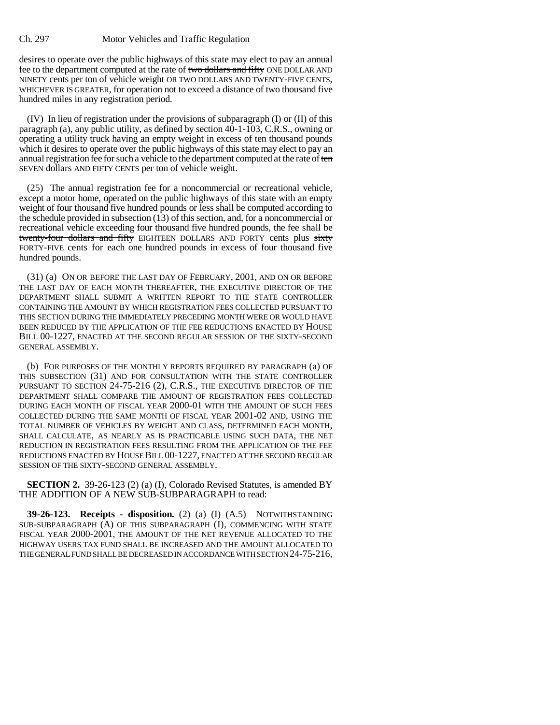desires to operate over the public highways of this state may elect to pay an annual fee to the department computed at the rate of two dollars and fifty ONE DOLLAR AND NINETY cents per ton of vehicle weight OR TWO DOLLARS AND TWENTY-FIVE CENTS, WHICHEVER IS GREATER, for operation not to exceed a distance of two thousand five hundred miles in any registration period.

(IV) In lieu of registration under the provisions of subparagraph (I) or (II) of this paragraph (a), any public utility, as defined by section 40-1-103, C.R.S., owning or operating a utility truck having an empty weight in excess of ten thousand pounds which it desires to operate over the public highways of this state may elect to pay an annual registration fee for such a vehicle to the department computed at the rate of ten SEVEN dollars AND FIFTY CENTS per ton of vehicle weight.

(25) The annual registration fee for a noncommercial or recreational vehicle, except a motor home, operated on the public highways of this state with an empty weight of four thousand five hundred pounds or less shall be computed according to the schedule provided in subsection (13) of this section, and, for a noncommercial or recreational vehicle exceeding four thousand five hundred pounds, the fee shall be twenty-four dollars and fifty EIGHTEEN DOLLARS AND FORTY cents plus sixty FORTY-FIVE cents for each one hundred pounds in excess of four thousand five hundred pounds.

(31) (a) ON OR BEFORE THE LAST DAY OF FEBRUARY, 2001, AND ON OR BEFORE THE LAST DAY OF EACH MONTH THEREAFTER, THE EXECUTIVE DIRECTOR OF THE DEPARTMENT SHALL SUBMIT A WRITTEN REPORT TO THE STATE CONTROLLER CONTAINING THE AMOUNT BY WHICH REGISTRATION FEES COLLECTED PURSUANT TO THIS SECTION DURING THE IMMEDIATELY PRECEDING MONTH WERE OR WOULD HAVE BEEN REDUCED BY THE APPLICATION OF THE FEE REDUCTIONS ENACTED BY HOUSE BILL 00-1227, ENACTED AT THE SECOND REGULAR SESSION OF THE SIXTY-SECOND GENERAL ASSEMBLY.

(b) FOR PURPOSES OF THE MONTHLY REPORTS REQUIRED BY PARAGRAPH (a) OF THIS SUBSECTION (31) AND FOR CONSULTATION WITH THE STATE CONTROLLER PURSUANT TO SECTION 24-75-216 (2), C.R.S., THE EXECUTIVE DIRECTOR OF THE DEPARTMENT SHALL COMPARE THE AMOUNT OF REGISTRATION FEES COLLECTED DURING EACH MONTH OF FISCAL YEAR 2000-01 WITH THE AMOUNT OF SUCH FEES COLLECTED DURING THE SAME MONTH OF FISCAL YEAR 2001-02 AND, USING THE TOTAL NUMBER OF VEHICLES BY WEIGHT AND CLASS, DETERMINED EACH MONTH, SHALL CALCULATE, AS NEARLY AS IS PRACTICABLE USING SUCH DATA, THE NET REDUCTION IN REGISTRATION FEES RESULTING FROM THE APPLICATION OF THE FEE REDUCTIONS ENACTED BY HOUSE BILL 00-1227, ENACTED AT THE SECOND REGULAR SESSION OF THE SIXTY-SECOND GENERAL ASSEMBLY.

**SECTION 2.** 39-26-123 (2) (a) (I), Colorado Revised Statutes, is amended BY THE ADDITION OF A NEW SUB-SUBPARAGRAPH to read:

**39-26-123. Receipts - disposition.** (2) (a) (I) (A.5) NOTWITHSTANDING SUB-SUBPARAGRAPH (A) OF THIS SUBPARAGRAPH (I), COMMENCING WITH STATE FISCAL YEAR 2000-2001, THE AMOUNT OF THE NET REVENUE ALLOCATED TO THE HIGHWAY USERS TAX FUND SHALL BE INCREASED AND THE AMOUNT ALLOCATED TO THE GENERAL FUND SHALL BE DECREASED IN ACCORDANCE WITH SECTION 24-75-216,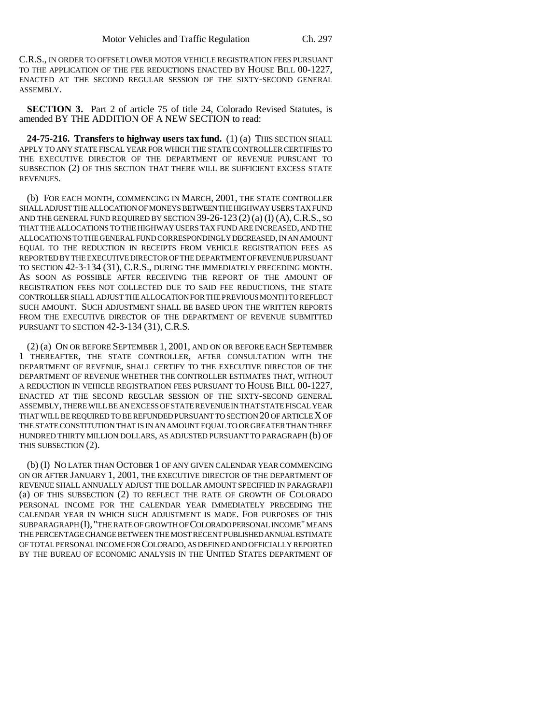C.R.S., IN ORDER TO OFFSET LOWER MOTOR VEHICLE REGISTRATION FEES PURSUANT TO THE APPLICATION OF THE FEE REDUCTIONS ENACTED BY HOUSE BILL 00-1227, ENACTED AT THE SECOND REGULAR SESSION OF THE SIXTY-SECOND GENERAL ASSEMBLY.

**SECTION 3.** Part 2 of article 75 of title 24, Colorado Revised Statutes, is amended BY THE ADDITION OF A NEW SECTION to read:

**24-75-216. Transfers to highway users tax fund.** (1) (a) THIS SECTION SHALL APPLY TO ANY STATE FISCAL YEAR FOR WHICH THE STATE CONTROLLER CERTIFIES TO THE EXECUTIVE DIRECTOR OF THE DEPARTMENT OF REVENUE PURSUANT TO SUBSECTION (2) OF THIS SECTION THAT THERE WILL BE SUFFICIENT EXCESS STATE REVENUES.

(b) FOR EACH MONTH, COMMENCING IN MARCH, 2001, THE STATE CONTROLLER SHALL ADJUST THE ALLOCATION OF MONEYS BETWEEN THE HIGHWAY USERS TAX FUND AND THE GENERAL FUND REQUIRED BY SECTION  $39-26-123(2)(a)$  (I) (A), C.R.S., SO THAT THE ALLOCATIONS TO THE HIGHWAY USERS TAX FUND ARE INCREASED, AND THE ALLOCATIONS TO THE GENERAL FUND CORRESPONDINGLY DECREASED, IN AN AMOUNT EQUAL TO THE REDUCTION IN RECEIPTS FROM VEHICLE REGISTRATION FEES AS REPORTED BY THE EXECUTIVE DIRECTOR OF THE DEPARTMENT OF REVENUE PURSUANT TO SECTION 42-3-134 (31), C.R.S., DURING THE IMMEDIATELY PRECEDING MONTH. AS SOON AS POSSIBLE AFTER RECEIVING THE REPORT OF THE AMOUNT OF REGISTRATION FEES NOT COLLECTED DUE TO SAID FEE REDUCTIONS, THE STATE CONTROLLER SHALL ADJUST THE ALLOCATION FOR THE PREVIOUS MONTH TO REFLECT SUCH AMOUNT. SUCH ADJUSTMENT SHALL BE BASED UPON THE WRITTEN REPORTS FROM THE EXECUTIVE DIRECTOR OF THE DEPARTMENT OF REVENUE SUBMITTED PURSUANT TO SECTION 42-3-134 (31), C.R.S.

(2) (a) ON OR BEFORE SEPTEMBER 1, 2001, AND ON OR BEFORE EACH SEPTEMBER 1 THEREAFTER, THE STATE CONTROLLER, AFTER CONSULTATION WITH THE DEPARTMENT OF REVENUE, SHALL CERTIFY TO THE EXECUTIVE DIRECTOR OF THE DEPARTMENT OF REVENUE WHETHER THE CONTROLLER ESTIMATES THAT, WITHOUT A REDUCTION IN VEHICLE REGISTRATION FEES PURSUANT TO HOUSE BILL 00-1227, ENACTED AT THE SECOND REGULAR SESSION OF THE SIXTY-SECOND GENERAL ASSEMBLY, THERE WILL BE AN EXCESS OF STATE REVENUE IN THAT STATE FISCAL YEAR THAT WILL BE REQUIRED TO BE REFUNDED PURSUANT TO SECTION 20 OF ARTICLE X OF THE STATE CONSTITUTION THAT IS IN AN AMOUNT EQUAL TO OR GREATER THAN THREE HUNDRED THIRTY MILLION DOLLARS, AS ADJUSTED PURSUANT TO PARAGRAPH (b) OF THIS SUBSECTION (2).

(b) (I) NO LATER THAN OCTOBER 1 OF ANY GIVEN CALENDAR YEAR COMMENCING ON OR AFTER JANUARY 1, 2001, THE EXECUTIVE DIRECTOR OF THE DEPARTMENT OF REVENUE SHALL ANNUALLY ADJUST THE DOLLAR AMOUNT SPECIFIED IN PARAGRAPH (a) OF THIS SUBSECTION (2) TO REFLECT THE RATE OF GROWTH OF COLORADO PERSONAL INCOME FOR THE CALENDAR YEAR IMMEDIATELY PRECEDING THE CALENDAR YEAR IN WHICH SUCH ADJUSTMENT IS MADE. FOR PURPOSES OF THIS SUBPARAGRAPH (I), "THE RATE OF GROWTH OF COLORADO PERSONAL INCOME" MEANS THE PERCENTAGE CHANGE BETWEEN THE MOST RECENT PUBLISHED ANNUAL ESTIMATE OF TOTAL PERSONAL INCOME FOR COLORADO, AS DEFINED AND OFFICIALLY REPORTED BY THE BUREAU OF ECONOMIC ANALYSIS IN THE UNITED STATES DEPARTMENT OF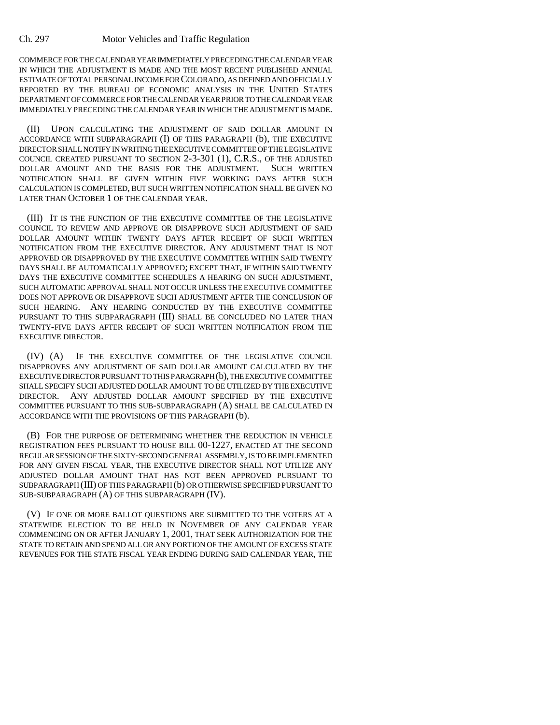COMMERCE FOR THE CALENDAR YEAR IMMEDIATELY PRECEDING THE CALENDAR YEAR IN WHICH THE ADJUSTMENT IS MADE AND THE MOST RECENT PUBLISHED ANNUAL ESTIMATE OF TOTAL PERSONAL INCOME FOR COLORADO, AS DEFINED AND OFFICIALLY REPORTED BY THE BUREAU OF ECONOMIC ANALYSIS IN THE UNITED STATES DEPARTMENT OF COMMERCE FOR THE CALENDAR YEAR PRIOR TO THE CALENDAR YEAR IMMEDIATELY PRECEDING THE CALENDAR YEAR IN WHICH THE ADJUSTMENT IS MADE.

(II) UPON CALCULATING THE ADJUSTMENT OF SAID DOLLAR AMOUNT IN ACCORDANCE WITH SUBPARAGRAPH (I) OF THIS PARAGRAPH (b), THE EXECUTIVE DIRECTOR SHALL NOTIFY IN WRITING THE EXECUTIVE COMMITTEE OF THE LEGISLATIVE COUNCIL CREATED PURSUANT TO SECTION 2-3-301 (1), C.R.S., OF THE ADJUSTED DOLLAR AMOUNT AND THE BASIS FOR THE ADJUSTMENT. SUCH WRITTEN NOTIFICATION SHALL BE GIVEN WITHIN FIVE WORKING DAYS AFTER SUCH CALCULATION IS COMPLETED, BUT SUCH WRITTEN NOTIFICATION SHALL BE GIVEN NO LATER THAN OCTOBER 1 OF THE CALENDAR YEAR.

(III) IT IS THE FUNCTION OF THE EXECUTIVE COMMITTEE OF THE LEGISLATIVE COUNCIL TO REVIEW AND APPROVE OR DISAPPROVE SUCH ADJUSTMENT OF SAID DOLLAR AMOUNT WITHIN TWENTY DAYS AFTER RECEIPT OF SUCH WRITTEN NOTIFICATION FROM THE EXECUTIVE DIRECTOR. ANY ADJUSTMENT THAT IS NOT APPROVED OR DISAPPROVED BY THE EXECUTIVE COMMITTEE WITHIN SAID TWENTY DAYS SHALL BE AUTOMATICALLY APPROVED; EXCEPT THAT, IF WITHIN SAID TWENTY DAYS THE EXECUTIVE COMMITTEE SCHEDULES A HEARING ON SUCH ADJUSTMENT, SUCH AUTOMATIC APPROVAL SHALL NOT OCCUR UNLESS THE EXECUTIVE COMMITTEE DOES NOT APPROVE OR DISAPPROVE SUCH ADJUSTMENT AFTER THE CONCLUSION OF SUCH HEARING. ANY HEARING CONDUCTED BY THE EXECUTIVE COMMITTEE PURSUANT TO THIS SUBPARAGRAPH (III) SHALL BE CONCLUDED NO LATER THAN TWENTY-FIVE DAYS AFTER RECEIPT OF SUCH WRITTEN NOTIFICATION FROM THE EXECUTIVE DIRECTOR.

(IV) (A) IF THE EXECUTIVE COMMITTEE OF THE LEGISLATIVE COUNCIL DISAPPROVES ANY ADJUSTMENT OF SAID DOLLAR AMOUNT CALCULATED BY THE EXECUTIVE DIRECTOR PURSUANT TO THIS PARAGRAPH (b), THE EXECUTIVE COMMITTEE SHALL SPECIFY SUCH ADJUSTED DOLLAR AMOUNT TO BE UTILIZED BY THE EXECUTIVE DIRECTOR. ANY ADJUSTED DOLLAR AMOUNT SPECIFIED BY THE EXECUTIVE COMMITTEE PURSUANT TO THIS SUB-SUBPARAGRAPH (A) SHALL BE CALCULATED IN ACCORDANCE WITH THE PROVISIONS OF THIS PARAGRAPH (b).

(B) FOR THE PURPOSE OF DETERMINING WHETHER THE REDUCTION IN VEHICLE REGISTRATION FEES PURSUANT TO HOUSE BILL 00-1227, ENACTED AT THE SECOND REGULAR SESSION OF THE SIXTY-SECOND GENERAL ASSEMBLY, IS TO BE IMPLEMENTED FOR ANY GIVEN FISCAL YEAR, THE EXECUTIVE DIRECTOR SHALL NOT UTILIZE ANY ADJUSTED DOLLAR AMOUNT THAT HAS NOT BEEN APPROVED PURSUANT TO SUBPARAGRAPH (III) OF THIS PARAGRAPH (b) OR OTHERWISE SPECIFIED PURSUANT TO SUB-SUBPARAGRAPH (A) OF THIS SUBPARAGRAPH (IV).

(V) IF ONE OR MORE BALLOT QUESTIONS ARE SUBMITTED TO THE VOTERS AT A STATEWIDE ELECTION TO BE HELD IN NOVEMBER OF ANY CALENDAR YEAR COMMENCING ON OR AFTER JANUARY 1, 2001, THAT SEEK AUTHORIZATION FOR THE STATE TO RETAIN AND SPEND ALL OR ANY PORTION OF THE AMOUNT OF EXCESS STATE REVENUES FOR THE STATE FISCAL YEAR ENDING DURING SAID CALENDAR YEAR, THE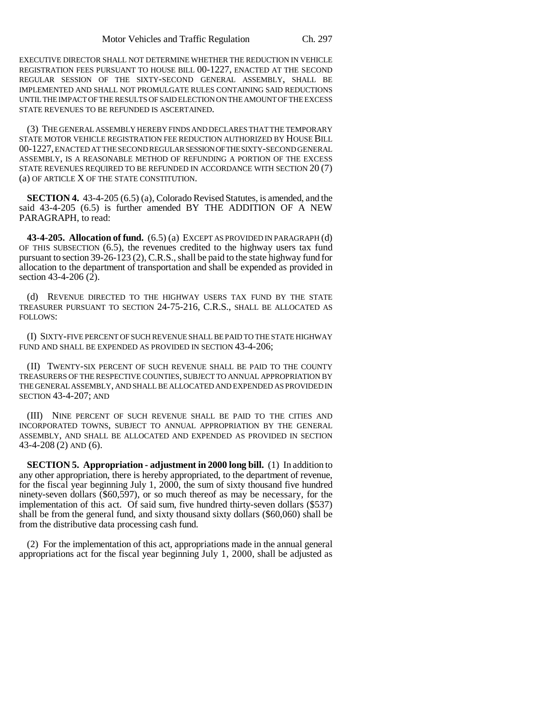EXECUTIVE DIRECTOR SHALL NOT DETERMINE WHETHER THE REDUCTION IN VEHICLE REGISTRATION FEES PURSUANT TO HOUSE BILL 00-1227, ENACTED AT THE SECOND REGULAR SESSION OF THE SIXTY-SECOND GENERAL ASSEMBLY, SHALL BE IMPLEMENTED AND SHALL NOT PROMULGATE RULES CONTAINING SAID REDUCTIONS UNTIL THE IMPACT OF THE RESULTS OF SAID ELECTION ON THE AMOUNT OF THE EXCESS STATE REVENUES TO BE REFUNDED IS ASCERTAINED.

(3) THE GENERAL ASSEMBLY HEREBY FINDS AND DECLARES THAT THE TEMPORARY STATE MOTOR VEHICLE REGISTRATION FEE REDUCTION AUTHORIZED BY HOUSE BILL 00-1227, ENACTED AT THE SECOND REGULAR SESSION OF THE SIXTY-SECOND GENERAL ASSEMBLY, IS A REASONABLE METHOD OF REFUNDING A PORTION OF THE EXCESS STATE REVENUES REQUIRED TO BE REFUNDED IN ACCORDANCE WITH SECTION 20 (7) (a) OF ARTICLE X OF THE STATE CONSTITUTION.

**SECTION 4.** 43-4-205 (6.5) (a), Colorado Revised Statutes, is amended, and the said 43-4-205 (6.5) is further amended BY THE ADDITION OF A NEW PARAGRAPH, to read:

**43-4-205. Allocation of fund.** (6.5) (a) EXCEPT AS PROVIDED IN PARAGRAPH (d) OF THIS SUBSECTION (6.5), the revenues credited to the highway users tax fund pursuant to section 39-26-123 (2), C.R.S., shall be paid to the state highway fund for allocation to the department of transportation and shall be expended as provided in section 43-4-206  $(2)$ .

(d) REVENUE DIRECTED TO THE HIGHWAY USERS TAX FUND BY THE STATE TREASURER PURSUANT TO SECTION 24-75-216, C.R.S., SHALL BE ALLOCATED AS FOLLOWS:

(I) SIXTY-FIVE PERCENT OF SUCH REVENUE SHALL BE PAID TO THE STATE HIGHWAY FUND AND SHALL BE EXPENDED AS PROVIDED IN SECTION 43-4-206;

(II) TWENTY-SIX PERCENT OF SUCH REVENUE SHALL BE PAID TO THE COUNTY TREASURERS OF THE RESPECTIVE COUNTIES, SUBJECT TO ANNUAL APPROPRIATION BY THE GENERAL ASSEMBLY, AND SHALL BE ALLOCATED AND EXPENDED AS PROVIDED IN SECTION 43-4-207; AND

(III) NINE PERCENT OF SUCH REVENUE SHALL BE PAID TO THE CITIES AND INCORPORATED TOWNS, SUBJECT TO ANNUAL APPROPRIATION BY THE GENERAL ASSEMBLY, AND SHALL BE ALLOCATED AND EXPENDED AS PROVIDED IN SECTION 43-4-208 (2) AND (6).

**SECTION 5. Appropriation - adjustment in 2000 long bill.** (1) In addition to any other appropriation, there is hereby appropriated, to the department of revenue, for the fiscal year beginning July 1, 2000, the sum of sixty thousand five hundred ninety-seven dollars (\$60,597), or so much thereof as may be necessary, for the implementation of this act. Of said sum, five hundred thirty-seven dollars (\$537) shall be from the general fund, and sixty thousand sixty dollars (\$60,060) shall be from the distributive data processing cash fund.

(2) For the implementation of this act, appropriations made in the annual general appropriations act for the fiscal year beginning July 1, 2000, shall be adjusted as